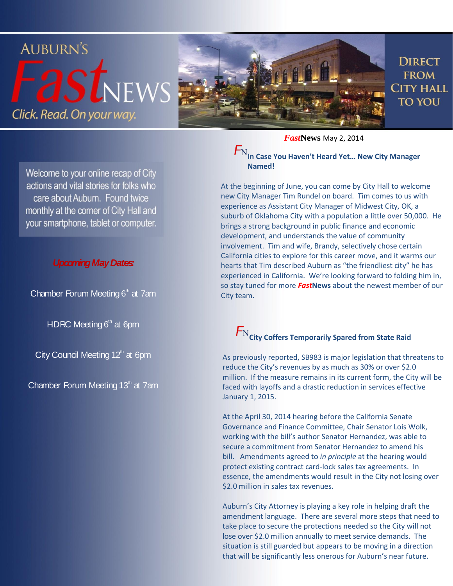# **AUBURN'S** Click. Read. On your way.

**DIRECT FROM CITY HALL TO YOU** 

Welcome to your online recap of City actions and vital stories for folks who care about Auburn. Found twice monthly at the corner of City Hall and your smartphone, tablet or computer.

#### *UpcomingMayDates:*

Chamber Forum Meeting  $6<sup>th</sup>$  at 7am

HDRC Meeting  $6<sup>th</sup>$  at 6pm

City Council Meeting  $12<sup>th</sup>$  at 6pm

Chamber Forum Meeting  $13<sup>th</sup>$  at 7am

*Fast***News** May 2, 2014

 $\boldsymbol{F}_\text{N}$ <sub>In</sub> Case You Haven't Heard Yet... New City Manager **Named!**

At the beginning of June, you can come by City Hall to welcome new City Manager Tim Rundel on board. Tim comes to us with experience as Assistant City Manager of Midwest City, OK, a suburb of Oklahoma City with a population a little over 50,000. He brings a strong background in public finance and economic development, and understands the value of community involvement. Tim and wife, Brandy, selectively chose certain California cities to explore for this career move, and it warms our hearts that Tim described Auburn as "the friendliest city" he has experienced in California. We're looking forward to folding him in, so stay tuned for more *Fast***News** about the newest member of our City team.

### $F_{\rm N}$ City Coffers Temporarily Spared from State Raid

As previously reported, SB983 is major legislation that threatens to reduce the City's revenues by as much as 30% or over \$2.0 million. If the measure remains in its current form, the City will be faced with layoffs and a drastic reduction in services effective January 1, 2015.

At the April 30, 2014 hearing before the California Senate Governance and Finance Committee, Chair Senator Lois Wolk, working with the bill's author Senator Hernandez, was able to secure a commitment from Senator Hernandez to amend his bill. Amendments agreed to *in principle* at the hearing would protect existing contract card-lock sales tax agreements. In essence, the amendments would result in the City not losing over \$2.0 million in sales tax revenues.

Auburn's City Attorney is playing a key role in helping draft the amendment language. There are several more steps that need to take place to secure the protections needed so the City will not lose over \$2.0 million annually to meet service demands. The situation is still guarded but appears to be moving in a direction that will be significantly less onerous for Auburn's near future.